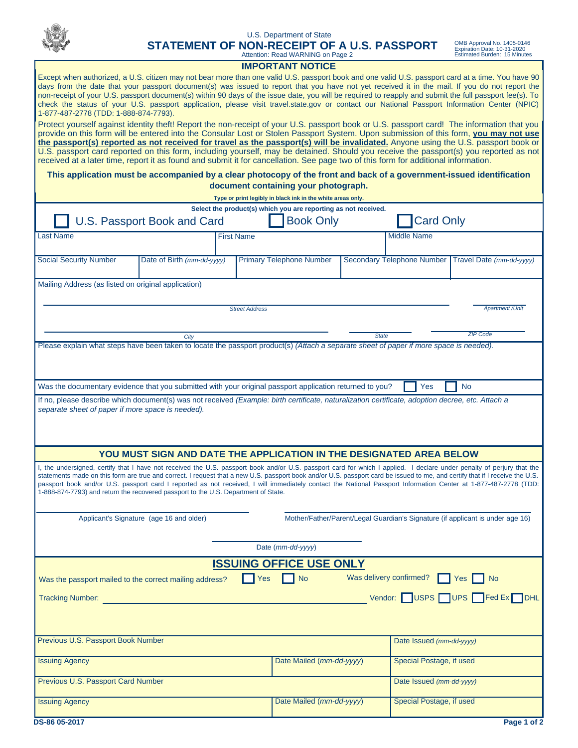|                                                                                                                                                                                                                                                                                                                                                                                                                                                                                                                                                                                                                                                                                                         | STATEMENT OF NON-RECEIPT OF A U.S. PASSPORT |  | U.S. Department of State<br>Attention: Read WARNING on Page 2 |                    |                          | OMB Approval No. 1405-0146<br>Expiration Date: 10-31-2020<br><b>Estimated Burden: 15 Minutes</b> |
|---------------------------------------------------------------------------------------------------------------------------------------------------------------------------------------------------------------------------------------------------------------------------------------------------------------------------------------------------------------------------------------------------------------------------------------------------------------------------------------------------------------------------------------------------------------------------------------------------------------------------------------------------------------------------------------------------------|---------------------------------------------|--|---------------------------------------------------------------|--------------------|--------------------------|--------------------------------------------------------------------------------------------------|
| <b>IMPORTANT NOTICE</b>                                                                                                                                                                                                                                                                                                                                                                                                                                                                                                                                                                                                                                                                                 |                                             |  |                                                               |                    |                          |                                                                                                  |
| Except when authorized, a U.S. citizen may not bear more than one valid U.S. passport book and one valid U.S. passport card at a time. You have 90<br>days from the date that your passport document(s) was issued to report that you have not yet received it in the mail. If you do not report the<br>non-receipt of your U.S. passport document(s) within 90 days of the issue date, you will be required to reapply and submit the full passport fee(s). To<br>check the status of your U.S. passport application, please visit travel.state.gov or contact our National Passport Information Center (NPIC)<br>1-877-487-2778 (TDD: 1-888-874-7793).                                                |                                             |  |                                                               |                    |                          |                                                                                                  |
| Protect yourself against identity theft! Report the non-receipt of your U.S. passport book or U.S. passport card! The information that you<br>provide on this form will be entered into the Consular Lost or Stolen Passport System. Upon submission of this form, you may not use<br>the passport(s) reported as not received for travel as the passport(s) will be invalidated. Anyone using the U.S. passport book or<br>U.S. passport card reported on this form, including yourself, may be detained. Should you receive the passport(s) you reported as not<br>received at a later time, report it as found and submit it for cancellation. See page two of this form for additional information. |                                             |  |                                                               |                    |                          |                                                                                                  |
| This application must be accompanied by a clear photocopy of the front and back of a government-issued identification<br>document containing your photograph.<br>Type or print legibly in black ink in the white areas only.                                                                                                                                                                                                                                                                                                                                                                                                                                                                            |                                             |  |                                                               |                    |                          |                                                                                                  |
| Select the product(s) which you are reporting as not received.                                                                                                                                                                                                                                                                                                                                                                                                                                                                                                                                                                                                                                          |                                             |  |                                                               |                    |                          |                                                                                                  |
| <b>Card Only</b><br>U.S. Passport Book and Card<br><b>Book Only</b>                                                                                                                                                                                                                                                                                                                                                                                                                                                                                                                                                                                                                                     |                                             |  |                                                               |                    |                          |                                                                                                  |
| <b>Last Name</b><br><b>First Name</b>                                                                                                                                                                                                                                                                                                                                                                                                                                                                                                                                                                                                                                                                   |                                             |  |                                                               | <b>Middle Name</b> |                          |                                                                                                  |
| <b>Social Security Number</b>                                                                                                                                                                                                                                                                                                                                                                                                                                                                                                                                                                                                                                                                           | Date of Birth (mm-dd-yyyy)                  |  | <b>Primary Telephone Number</b>                               |                    |                          | Secondary Telephone Number Travel Date (mm-dd-yyyy)                                              |
| Mailing Address (as listed on original application)                                                                                                                                                                                                                                                                                                                                                                                                                                                                                                                                                                                                                                                     |                                             |  |                                                               |                    |                          |                                                                                                  |
| <b>Apartment / Unit</b><br><b>Street Address</b>                                                                                                                                                                                                                                                                                                                                                                                                                                                                                                                                                                                                                                                        |                                             |  |                                                               |                    |                          |                                                                                                  |
| <b>ZIP Code</b><br><b>State</b><br>City                                                                                                                                                                                                                                                                                                                                                                                                                                                                                                                                                                                                                                                                 |                                             |  |                                                               |                    |                          |                                                                                                  |
| Please explain what steps have been taken to locate the passport product(s) (Attach a separate sheet of paper if more space is needed).                                                                                                                                                                                                                                                                                                                                                                                                                                                                                                                                                                 |                                             |  |                                                               |                    |                          |                                                                                                  |
|                                                                                                                                                                                                                                                                                                                                                                                                                                                                                                                                                                                                                                                                                                         |                                             |  |                                                               |                    |                          |                                                                                                  |
| Was the documentary evidence that you submitted with your original passport application returned to you?<br><b>Yes</b><br><b>No</b>                                                                                                                                                                                                                                                                                                                                                                                                                                                                                                                                                                     |                                             |  |                                                               |                    |                          |                                                                                                  |
| If no, please describe which document(s) was not received (Example: birth certificate, naturalization certificate, adoption decree, etc. Attach a<br>separate sheet of paper if more space is needed).                                                                                                                                                                                                                                                                                                                                                                                                                                                                                                  |                                             |  |                                                               |                    |                          |                                                                                                  |
| YOU MUST SIGN AND DATE THE APPLICATION IN THE DESIGNATED AREA BELOW                                                                                                                                                                                                                                                                                                                                                                                                                                                                                                                                                                                                                                     |                                             |  |                                                               |                    |                          |                                                                                                  |
| I, the undersigned, certify that I have not received the U.S. passport book and/or U.S. passport card for which I applied. I declare under penalty of perjury that the<br>statements made on this form are true and correct. I request that a new U.S. passport book and/or U.S. passport card be issued to me, and certify that if I receive the U.S.<br>passport book and/or U.S. passport card I reported as not received, I will immediately contact the National Passport Information Center at 1-877-487-2778 (TDD:<br>1-888-874-7793) and return the recovered passport to the U.S. Department of State.                                                                                         |                                             |  |                                                               |                    |                          |                                                                                                  |
| Mother/Father/Parent/Legal Guardian's Signature (if applicant is under age 16)<br>Applicant's Signature (age 16 and older)                                                                                                                                                                                                                                                                                                                                                                                                                                                                                                                                                                              |                                             |  |                                                               |                    |                          |                                                                                                  |
| Date (mm-dd-yyyy)                                                                                                                                                                                                                                                                                                                                                                                                                                                                                                                                                                                                                                                                                       |                                             |  |                                                               |                    |                          |                                                                                                  |
| <b>ISSUING OFFICE USE ONLY</b>                                                                                                                                                                                                                                                                                                                                                                                                                                                                                                                                                                                                                                                                          |                                             |  |                                                               |                    |                          |                                                                                                  |
| Was delivery confirmed?<br><b>No</b><br>Yes<br>Yes No<br>Was the passport mailed to the correct mailing address?                                                                                                                                                                                                                                                                                                                                                                                                                                                                                                                                                                                        |                                             |  |                                                               |                    |                          |                                                                                                  |
| Vendor: USPS UPS Fed Ex DHL<br><b>Tracking Number:</b>                                                                                                                                                                                                                                                                                                                                                                                                                                                                                                                                                                                                                                                  |                                             |  |                                                               |                    |                          |                                                                                                  |
| Previous U.S. Passport Book Number<br>Date Issued (mm-dd-yyyy)                                                                                                                                                                                                                                                                                                                                                                                                                                                                                                                                                                                                                                          |                                             |  |                                                               |                    |                          |                                                                                                  |
| <b>Issuing Agency</b>                                                                                                                                                                                                                                                                                                                                                                                                                                                                                                                                                                                                                                                                                   |                                             |  | Date Mailed (mm-dd-yyyy)                                      |                    | Special Postage, if used |                                                                                                  |
| Previous U.S. Passport Card Number                                                                                                                                                                                                                                                                                                                                                                                                                                                                                                                                                                                                                                                                      |                                             |  |                                                               |                    | Date Issued (mm-dd-yyyy) |                                                                                                  |
|                                                                                                                                                                                                                                                                                                                                                                                                                                                                                                                                                                                                                                                                                                         |                                             |  |                                                               |                    |                          |                                                                                                  |
| <b>Issuing Agency</b>                                                                                                                                                                                                                                                                                                                                                                                                                                                                                                                                                                                                                                                                                   |                                             |  | Date Mailed (mm-dd-yyyy)                                      |                    | Special Postage, if used |                                                                                                  |
| DS-86 05-2017                                                                                                                                                                                                                                                                                                                                                                                                                                                                                                                                                                                                                                                                                           |                                             |  |                                                               |                    |                          | Page 1 of 2                                                                                      |